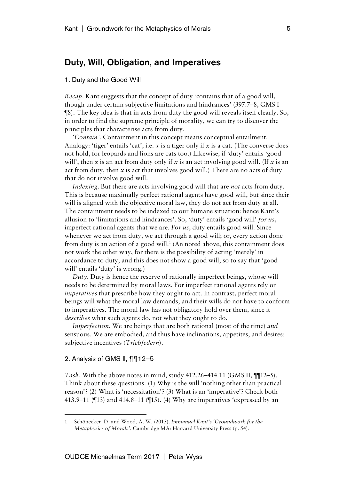## Duty, Will, Obligation, and Imperatives

## 1. Duty and the Good Will

*Recap*. Kant suggests that the concept of duty 'contains that of a good will, though under certain subjective limitations and hindrances' (397.7–8, GMS I ¶8). The key idea is that in acts from duty the good will reveals itself clearly. So, in order to find the supreme principle of morality, we can try to discover the principles that characterise acts from duty.

*'Contain'*. Containment in this concept means conceptual entailment. Analogy: 'tiger' entails 'cat', i.e. *x* is a tiger only if *x* is a cat. (The converse does not hold, for leopards and lions are cats too.) Likewise, if 'duty' entails 'good will', then *x* is an act from duty only if *x* is an act involving good will. (If *x* is an act from duty, then *x* is act that involves good will.) There are no acts of duty that do not involve good will.

*Indexing*. But there are acts involving good will that are *not* acts from duty. This is because maximally perfect rational agents have good will, but since their will is aligned with the objective moral law, they do not act from duty at all. The containment needs to be indexed to our humane situation: hence Kant's allusion to 'limitations and hindrances'. So, 'duty' entails 'good will' *for us*, imperfect rational agents that we are. *For us*, duty entails good will. Since whenever we act from duty, we act through a good will; or, every action done from duty is an action of a good will. <sup>1</sup> (An noted above, this containment does not work the other way, for there is the possibility of acting 'merely' in accordance to duty, and this does not show a good will; so to say that 'good will' entails 'duty' is wrong.)

*Duty*. Duty is hence the reserve of rationally imperfect beings, whose will needs to be determined by moral laws. For imperfect rational agents rely on *imperatives* that prescribe how they ought to act. In contrast, perfect moral beings will what the moral law demands, and their wills do not have to conform to imperatives. The moral law has not obligatory hold over them, since it *describes* what such agents do, not what they ought to do.

*Imperfection*. We are beings that are both rational (most of the time) *and* sensuous. We are embodied, and thus have inclinations, appetites, and desires: subjective incentives (*Triebfedern*).

## 2. Analysis of GMS II, ¶¶12–5

 $\ddot{\phantom{a}}$ 

*Task*. With the above notes in mind, study 412.26–414.11 (GMS II, ¶¶12–5). Think about these questions. (1) Why is the will 'nothing other than practical reason'? (2) What is 'necessitation'? (3) What is an 'imperative'? Check both 413.9–11 (¶13) and 414.8–11 (¶15). (4) Why are imperatives 'expressed by an

<sup>1</sup> Schönecker, D. and Wood, A. W. (2015). *Immanuel Kant's 'Groundwork for the Metaphysics of Morals'*. Cambridge MA: Harvard University Press (p. 54).